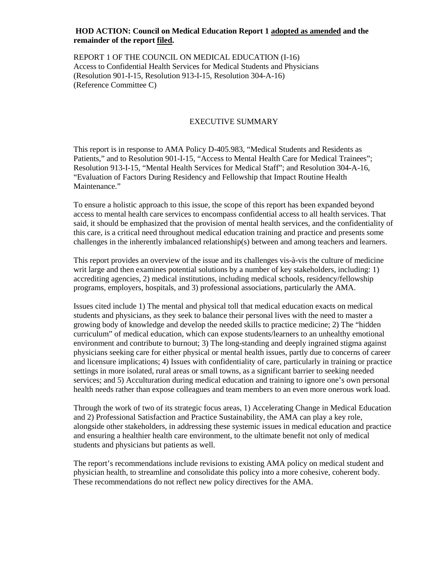#### **HOD ACTION: Council on Medical Education Report 1 adopted as amended and the remainder of the report filed.**

REPORT 1 OF THE COUNCIL ON MEDICAL EDUCATION (I-16) Access to Confidential Health Services for Medical Students and Physicians (Resolution 901-I-15, Resolution 913-I-15, Resolution 304-A-16) (Reference Committee C)

#### EXECUTIVE SUMMARY

This report is in response to AMA Policy D-405.983, "Medical Students and Residents as Patients," and to Resolution 901-I-15, "Access to Mental Health Care for Medical Trainees"; Resolution 913-I-15, "Mental Health Services for Medical Staff"; and Resolution 304-A-16, "Evaluation of Factors During Residency and Fellowship that Impact Routine Health Maintenance."

To ensure a holistic approach to this issue, the scope of this report has been expanded beyond access to mental health care services to encompass confidential access to all health services. That said, it should be emphasized that the provision of mental health services, and the confidentiality of this care, is a critical need throughout medical education training and practice and presents some challenges in the inherently imbalanced relationship(s) between and among teachers and learners.

This report provides an overview of the issue and its challenges vis-à-vis the culture of medicine writ large and then examines potential solutions by a number of key stakeholders, including: 1) accrediting agencies, 2) medical institutions, including medical schools, residency/fellowship programs, employers, hospitals, and 3) professional associations, particularly the AMA.

Issues cited include 1) The mental and physical toll that medical education exacts on medical students and physicians, as they seek to balance their personal lives with the need to master a growing body of knowledge and develop the needed skills to practice medicine; 2) The "hidden curriculum" of medical education, which can expose students/learners to an unhealthy emotional environment and contribute to burnout; 3) The long-standing and deeply ingrained stigma against physicians seeking care for either physical or mental health issues, partly due to concerns of career and licensure implications; 4) Issues with confidentiality of care, particularly in training or practice settings in more isolated, rural areas or small towns, as a significant barrier to seeking needed services; and 5) Acculturation during medical education and training to ignore one's own personal health needs rather than expose colleagues and team members to an even more onerous work load.

Through the work of two of its strategic focus areas, 1) Accelerating Change in Medical Education and 2) Professional Satisfaction and Practice Sustainability, the AMA can play a key role, alongside other stakeholders, in addressing these systemic issues in medical education and practice and ensuring a healthier health care environment, to the ultimate benefit not only of medical students and physicians but patients as well.

The report's recommendations include revisions to existing AMA policy on medical student and physician health, to streamline and consolidate this policy into a more cohesive, coherent body. These recommendations do not reflect new policy directives for the AMA.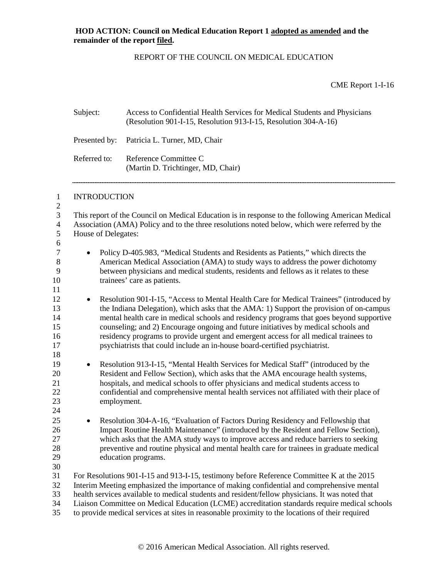### REPORT OF THE COUNCIL ON MEDICAL EDUCATION

CME Report 1-I-16

|                                                          | Subject:                                                                                                                                                                                                                                                                                     | Access to Confidential Health Services for Medical Students and Physicians<br>(Resolution 901-I-15, Resolution 913-I-15, Resolution 304-A-16)                                                                                                                                                                                                                                                                                                                                                                                              |  |  |
|----------------------------------------------------------|----------------------------------------------------------------------------------------------------------------------------------------------------------------------------------------------------------------------------------------------------------------------------------------------|--------------------------------------------------------------------------------------------------------------------------------------------------------------------------------------------------------------------------------------------------------------------------------------------------------------------------------------------------------------------------------------------------------------------------------------------------------------------------------------------------------------------------------------------|--|--|
|                                                          | Presented by:                                                                                                                                                                                                                                                                                | Patricia L. Turner, MD, Chair                                                                                                                                                                                                                                                                                                                                                                                                                                                                                                              |  |  |
|                                                          | Referred to:                                                                                                                                                                                                                                                                                 | Reference Committee C<br>(Martin D. Trichtinger, MD, Chair)                                                                                                                                                                                                                                                                                                                                                                                                                                                                                |  |  |
| $\mathbf{1}$                                             | <b>INTRODUCTION</b>                                                                                                                                                                                                                                                                          |                                                                                                                                                                                                                                                                                                                                                                                                                                                                                                                                            |  |  |
| $\sqrt{2}$<br>3<br>$\overline{4}$<br>$\mathfrak{S}$<br>6 | This report of the Council on Medical Education is in response to the following American Medical<br>Association (AMA) Policy and to the three resolutions noted below, which were referred by the<br>House of Delegates:                                                                     |                                                                                                                                                                                                                                                                                                                                                                                                                                                                                                                                            |  |  |
| $\tau$<br>$\,8\,$<br>9<br>10<br>11                       | Policy D-405.983, "Medical Students and Residents as Patients," which directs the<br>American Medical Association (AMA) to study ways to address the power dichotomy<br>between physicians and medical students, residents and fellows as it relates to these<br>trainees' care as patients. |                                                                                                                                                                                                                                                                                                                                                                                                                                                                                                                                            |  |  |
| 12<br>13<br>14<br>15<br>16<br>17<br>18                   | $\bullet$                                                                                                                                                                                                                                                                                    | Resolution 901-I-15, "Access to Mental Health Care for Medical Trainees" (introduced by<br>the Indiana Delegation), which asks that the AMA: 1) Support the provision of on-campus<br>mental health care in medical schools and residency programs that goes beyond supportive<br>counseling; and 2) Encourage ongoing and future initiatives by medical schools and<br>residency programs to provide urgent and emergent access for all medical trainees to<br>psychiatrists that could include an in-house board-certified psychiatrist. |  |  |
| 19<br>20<br>21<br>22<br>23<br>24                         | $\bullet$<br>employment.                                                                                                                                                                                                                                                                     | Resolution 913-I-15, "Mental Health Services for Medical Staff" (introduced by the<br>Resident and Fellow Section), which asks that the AMA encourage health systems,<br>hospitals, and medical schools to offer physicians and medical students access to<br>confidential and comprehensive mental health services not affiliated with their place of                                                                                                                                                                                     |  |  |
| 25<br>26<br>27<br>28<br>29<br>30                         | $\bullet$                                                                                                                                                                                                                                                                                    | Resolution 304-A-16, "Evaluation of Factors During Residency and Fellowship that<br>Impact Routine Health Maintenance" (introduced by the Resident and Fellow Section),<br>which asks that the AMA study ways to improve access and reduce barriers to seeking<br>preventive and routine physical and mental health care for trainees in graduate medical<br>education programs.                                                                                                                                                           |  |  |
| 31<br>32<br>33<br>34<br>35                               |                                                                                                                                                                                                                                                                                              | For Resolutions 901-I-15 and 913-I-15, testimony before Reference Committee K at the 2015<br>Interim Meeting emphasized the importance of making confidential and comprehensive mental<br>health services available to medical students and resident/fellow physicians. It was noted that<br>Liaison Committee on Medical Education (LCME) accreditation standards require medical schools<br>to provide medical services at sites in reasonable proximity to the locations of their required                                              |  |  |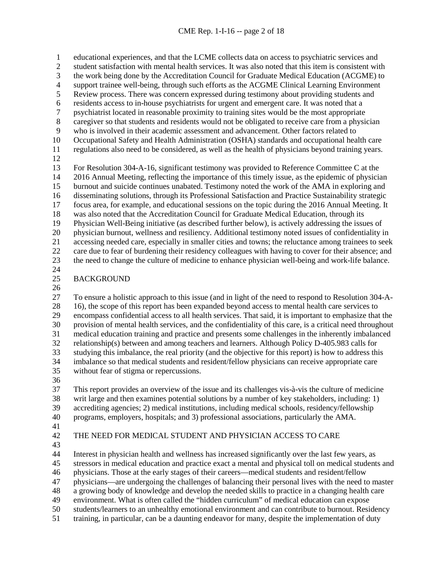educational experiences, and that the LCME collects data on access to psychiatric services and student satisfaction with mental health services. It was also noted that this item is consistent with 3 the work being done by the Accreditation Council for Graduate Medical Education (ACGME) to<br>4 support trainee well-being, through such efforts as the ACGME Clinical Learning Environment 4 support trainee well-being, through such efforts as the ACGME Clinical Learning Environment<br>5 Review process. There was concern expressed during testimony about providing students and Review process. There was concern expressed during testimony about providing students and 6 residents access to in-house psychiatrists for urgent and emergent care. It was noted that a<br>
5 responsive proximity to training sites would be the most appropriate 7 psychiatrist located in reasonable proximity to training sites would be the most appropriate<br>8 caregiver so that students and residents would not be obligated to receive care from a physic caregiver so that students and residents would not be obligated to receive care from a physician who is involved in their academic assessment and advancement. Other factors related to Occupational Safety and Health Administration (OSHA) standards and occupational health care regulations also need to be considered, as well as the health of physicians beyond training years. 13 For Resolution 304-A-16, significant testimony was provided to Reference Committee C at the 2016 Annual Meeting, reflecting the importance of this timely issue, as the epidemic of physicial 2016 Annual Meeting, reflecting the importance of this timely issue, as the epidemic of physician burnout and suicide continues unabated. Testimony noted the work of the AMA in exploring and disseminating solutions, through its Professional Satisfaction and Practice Sustainability strategic focus area, for example, and educational sessions on the topic during the 2016 Annual Meeting. It was also noted that the Accreditation Council for Graduate Medical Education, through its Physician Well-Being initiative (as described further below), is actively addressing the issues of 20 physician burnout, wellness and resiliency. Additional testimony noted issues of confidentiality in<br>21 accessing needed care, especially in smaller cities and towns; the reluctance among trainees to seek accessing needed care, especially in smaller cities and towns; the reluctance among trainees to seek care due to fear of burdening their residency colleagues with having to cover for their absence; and the need to change the culture of medicine to enhance physician well-being and work-life balance. 

## BACKGROUND

 To ensure a holistic approach to this issue (and in light of the need to respond to Resolution 304-A- 16), the scope of this report has been expanded beyond access to mental health care services to encompass confidential access to all health services. That said, it is important to emphasize that the provision of mental health services, and the confidentiality of this care, is a critical need throughout medical education training and practice and presents some challenges in the inherently imbalanced relationship(s) between and among teachers and learners. Although Policy D-405.983 calls for studying this imbalance, the real priority (and the objective for this report) is how to address this imbalance so that medical students and resident/fellow physicians can receive appropriate care without fear of stigma or repercussions.

 This report provides an overview of the issue and its challenges vis-à-vis the culture of medicine writ large and then examines potential solutions by a number of key stakeholders, including: 1) accrediting agencies; 2) medical institutions, including medical schools, residency/fellowship programs, employers, hospitals; and 3) professional associations, particularly the AMA.

### THE NEED FOR MEDICAL STUDENT AND PHYSICIAN ACCESS TO CARE

 Interest in physician health and wellness has increased significantly over the last few years, as stressors in medical education and practice exact a mental and physical toll on medical students and physicians. Those at the early stages of their careers—medical students and resident/fellow physicians—are undergoing the challenges of balancing their personal lives with the need to master a growing body of knowledge and develop the needed skills to practice in a changing health care environment. What is often called the "hidden curriculum" of medical education can expose students/learners to an unhealthy emotional environment and can contribute to burnout. Residency training, in particular, can be a daunting endeavor for many, despite the implementation of duty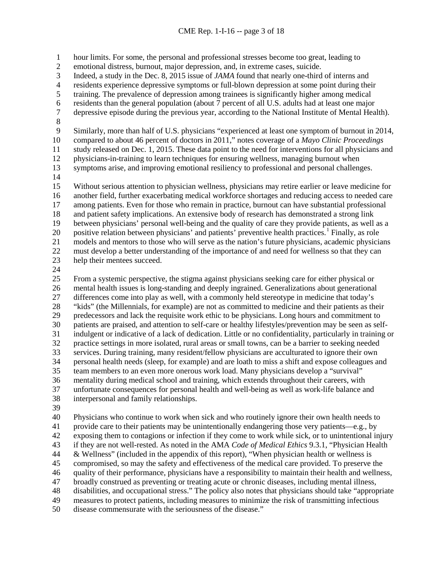#### CME Rep. 1-I-16 -- page 3 of 18

hour limits. For some, the personal and professional stresses become too great, leading to

emotional distress, burnout, major depression, and, in extreme cases, suicide.

3 Indeed, a study in the Dec. 8, 2015 issue of *JAMA* found that nearly one-third of interns and residents experience depressive symptoms or full-blown depression at some point during the

4 residents experience depressive symptoms or full-blown depression at some point during their<br>5 training. The prevalence of depression among trainees is significantly higher among medical

training. The prevalence of depression among trainees is significantly higher among medical

residents than the general population (about 7 percent of all U.S. adults had at least one major

depressive episode during the previous year, according to the National Institute of Mental Health).

8<br>9

Similarly, more than half of U.S. physicians "experienced at least one symptom of burnout in 2014,

compared to about 46 percent of doctors in 2011," notes coverage of a *Mayo Clinic Proceedings* 

study released on Dec. 1, 2015. These data point to the need for interventions for all physicians and

physicians-in-training to learn techniques for ensuring wellness, managing burnout when

symptoms arise, and improving emotional resiliency to professional and personal challenges.

 Without serious attention to physician wellness, physicians may retire earlier or leave medicine for another field, further exacerbating medical workforce shortages and reducing access to needed care among patients. Even for those who remain in practice, burnout can have substantial professional and patient safety implications. An extensive body of research has demonstrated a strong link between physicians' personal well-being and the quality of care they provide patients, as well as a 20 positive relation between physicians' and patients' preventive health practices.<sup>[1](#page-19-0)</sup> Finally, as role models and mentors to those who will serve as the nation's future physicians, academic physicians must develop a better understanding of the importance of and need for wellness so that they can help their mentees succeed.

 From a systemic perspective, the stigma against physicians seeking care for either physical or mental health issues is long-standing and deeply ingrained. Generalizations about generational differences come into play as well, with a commonly held stereotype in medicine that today's <sup>28</sup> "kids" (the Millennials, for example) are not as committed to medicine and their patients as their<br><sup>29</sup> predecessors and lack the requisite work ethic to be physicians. Long hours and commitment to predecessors and lack the requisite work ethic to be physicians. Long hours and commitment to patients are praised, and attention to self-care or healthy lifestyles/prevention may be seen as self- indulgent or indicative of a lack of dedication. Little or no confidentiality, particularly in training or practice settings in more isolated, rural areas or small towns, can be a barrier to seeking needed services. During training, many resident/fellow physicians are acculturated to ignore their own personal health needs (sleep, for example) and are loath to miss a shift and expose colleagues and team members to an even more onerous work load. Many physicians develop a "survival" mentality during medical school and training, which extends throughout their careers, with unfortunate consequences for personal health and well-being as well as work-life balance and interpersonal and family relationships.

 Physicians who continue to work when sick and who routinely ignore their own health needs to provide care to their patients may be unintentionally endangering those very patients—e.g., by exposing them to contagions or infection if they come to work while sick, or to unintentional injury if they are not well-rested. As noted in the AMA *Code of Medical Ethics* 9.3.1, "Physician Health & Wellness" (included in the appendix of this report), "When physician health or wellness is compromised, so may the safety and effectiveness of the medical care provided. To preserve the quality of their performance, physicians have a responsibility to maintain their health and wellness, broadly construed as preventing or treating acute or chronic diseases, including mental illness, disabilities, and occupational stress." The policy also notes that physicians should take "appropriate measures to protect patients, including measures to minimize the risk of transmitting infectious disease commensurate with the seriousness of the disease."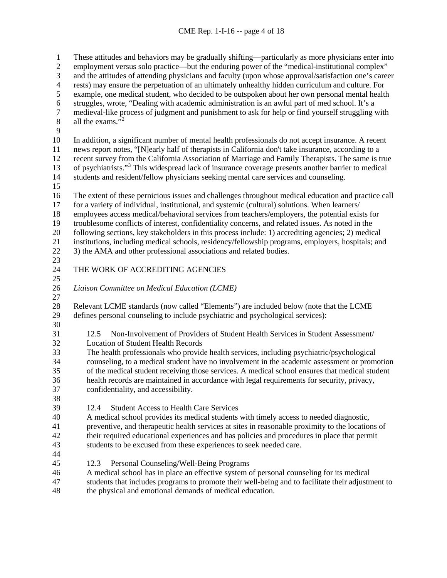#### CME Rep. 1-I-16 -- page 4 of 18

 These attitudes and behaviors may be gradually shifting—particularly as more physicians enter into employment versus solo practice—but the enduring power of the "medical-institutional complex" and the attitudes of attending physicians and faculty (upon whose approval/satisfaction one's career rests) may ensure the perpetuation of an ultimately unhealthy hidden curriculum and culture. For example, one medical student, who decided to be outspoken about her own personal mental health struggles, wrote, "Dealing with academic administration is an awful part of med school. It's a 7 medieval-like process of judgment and punishment to ask for help or find yourself struggling with<br>8 all the exams."<sup>2</sup> all the exams." $2^2$  In addition, a significant number of mental health professionals do not accept insurance. A recent news report notes, "[N]early half of therapists in California don't take insurance, according to a recent survey from the California Association of Marriage and Family Therapists. The same is true [3](#page-19-2) of psychiatrists."<sup>3</sup> This widespread lack of insurance coverage presents another barrier to medical<br>14 students and resident/fellow physicians seeking mental care services and counseling. students and resident/fellow physicians seeking mental care services and counseling. The extent of these pernicious issues and challenges throughout medical education and practice call for a variety of individual, institutional, and systemic (cultural) solutions. When learners/ employees access medical/behavioral services from teachers/employers, the potential exists for troublesome conflicts of interest, confidentiality concerns, and related issues. As noted in the following sections, key stakeholders in this process include: 1) accrediting agencies; 2) medical institutions, including medical schools, residency/fellowship programs, employers, hospitals; and 3) the AMA and other professional associations and related bodies. THE WORK OF ACCREDITING AGENCIES *Liaison Committee on Medical Education (LCME)* 28 Relevant LCME standards (now called "Elements") are included below (note that the LCME defines personal counseling to include psychiatric and psychological services): defines personal counseling to include psychiatric and psychological services): 12.5 Non-Involvement of Providers of Student Health Services in Student Assessment/ Location of Student Health Records The health professionals who provide health services, including psychiatric/psychological counseling, to a medical student have no involvement in the academic assessment or promotion of the medical student receiving those services. A medical school ensures that medical student health records are maintained in accordance with legal requirements for security, privacy, confidentiality, and accessibility. 12.4 Student Access to Health Care Services A medical school provides its medical students with timely access to needed diagnostic, preventive, and therapeutic health services at sites in reasonable proximity to the locations of their required educational experiences and has policies and procedures in place that permit students to be excused from these experiences to seek needed care. 12.3 Personal Counseling/Well-Being Programs A medical school has in place an effective system of personal counseling for its medical students that includes programs to promote their well-being and to facilitate their adjustment to

the physical and emotional demands of medical education.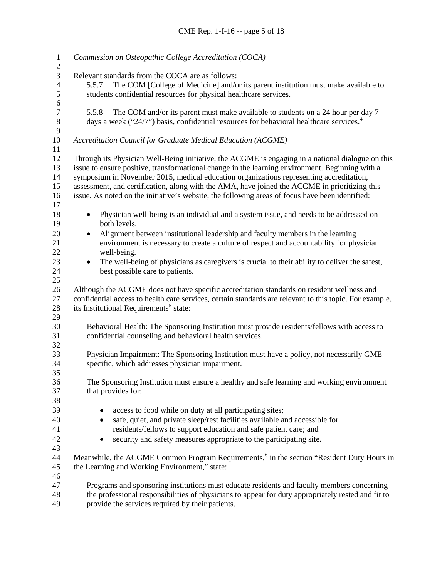| 3<br>Relevant standards from the COCA are as follows:<br>$\overline{4}$<br>The COM [College of Medicine] and/or its parent institution must make available to<br>5.5.7<br>5<br>students confidential resources for physical healthcare services.<br>6<br>$\boldsymbol{7}$<br>The COM and/or its parent must make available to students on a 24 hour per day 7<br>5.5.8<br>$\,8\,$<br>days a week ("24/7") basis, confidential resources for behavioral healthcare services. <sup>4</sup><br>9<br>10<br>Accreditation Council for Graduate Medical Education (ACGME)<br>11<br>12<br>Through its Physician Well-Being initiative, the ACGME is engaging in a national dialogue on this<br>issue to ensure positive, transformational change in the learning environment. Beginning with a<br>13<br>14<br>symposium in November 2015, medical education organizations representing accreditation,<br>assessment, and certification, along with the AMA, have joined the ACGME in prioritizing this<br>15<br>16<br>issue. As noted on the initiative's website, the following areas of focus have been identified:<br>17<br>18<br>Physician well-being is an individual and a system issue, and needs to be addressed on<br>$\bullet$<br>both levels.<br>19<br>Alignment between institutional leadership and faculty members in the learning<br>20<br>$\bullet$<br>environment is necessary to create a culture of respect and accountability for physician<br>21<br>22<br>well-being.<br>23<br>The well-being of physicians as caregivers is crucial to their ability to deliver the safest,<br>$\bullet$<br>24<br>best possible care to patients.<br>25<br>26<br>Although the ACGME does not have specific accreditation standards on resident wellness and<br>27<br>confidential access to health care services, certain standards are relevant to this topic. For example,<br>its Institutional Requirements <sup>5</sup> state:<br>28<br>29<br>30<br>Behavioral Health: The Sponsoring Institution must provide residents/fellows with access to<br>31<br>confidential counseling and behavioral health services.<br>32<br>33<br>Physician Impairment: The Sponsoring Institution must have a policy, not necessarily GME-<br>34<br>specific, which addresses physician impairment.<br>35<br>The Sponsoring Institution must ensure a healthy and safe learning and working environment<br>36<br>37<br>that provides for:<br>38<br>39<br>access to food while on duty at all participating sites;<br>٠<br>40<br>safe, quiet, and private sleep/rest facilities available and accessible for<br>٠<br>residents/fellows to support education and safe patient care; and<br>41<br>security and safety measures appropriate to the participating site.<br>42<br>٠<br>43<br>Meanwhile, the ACGME Common Program Requirements, <sup>6</sup> in the section "Resident Duty Hours in<br>44<br>45<br>the Learning and Working Environment," state:<br>46<br>Programs and sponsoring institutions must educate residents and faculty members concerning<br>47<br>48<br>the professional responsibilities of physicians to appear for duty appropriately rested and fit to | $\mathbf{1}$<br>$\mathbf{2}$ | Commission on Osteopathic College Accreditation (COCA) |  |  |  |
|-------------------------------------------------------------------------------------------------------------------------------------------------------------------------------------------------------------------------------------------------------------------------------------------------------------------------------------------------------------------------------------------------------------------------------------------------------------------------------------------------------------------------------------------------------------------------------------------------------------------------------------------------------------------------------------------------------------------------------------------------------------------------------------------------------------------------------------------------------------------------------------------------------------------------------------------------------------------------------------------------------------------------------------------------------------------------------------------------------------------------------------------------------------------------------------------------------------------------------------------------------------------------------------------------------------------------------------------------------------------------------------------------------------------------------------------------------------------------------------------------------------------------------------------------------------------------------------------------------------------------------------------------------------------------------------------------------------------------------------------------------------------------------------------------------------------------------------------------------------------------------------------------------------------------------------------------------------------------------------------------------------------------------------------------------------------------------------------------------------------------------------------------------------------------------------------------------------------------------------------------------------------------------------------------------------------------------------------------------------------------------------------------------------------------------------------------------------------------------------------------------------------------------------------------------------------------------------------------------------------------------------------------------------------------------------------------------------------------------------------------------------------------------------------------------------------------------------------------------------------------------------------------------------------------------------------------------------------------------------------------------------------------------------------------------------------------------------------------------------------------------------------------------------------|------------------------------|--------------------------------------------------------|--|--|--|
|                                                                                                                                                                                                                                                                                                                                                                                                                                                                                                                                                                                                                                                                                                                                                                                                                                                                                                                                                                                                                                                                                                                                                                                                                                                                                                                                                                                                                                                                                                                                                                                                                                                                                                                                                                                                                                                                                                                                                                                                                                                                                                                                                                                                                                                                                                                                                                                                                                                                                                                                                                                                                                                                                                                                                                                                                                                                                                                                                                                                                                                                                                                                                                   |                              |                                                        |  |  |  |
|                                                                                                                                                                                                                                                                                                                                                                                                                                                                                                                                                                                                                                                                                                                                                                                                                                                                                                                                                                                                                                                                                                                                                                                                                                                                                                                                                                                                                                                                                                                                                                                                                                                                                                                                                                                                                                                                                                                                                                                                                                                                                                                                                                                                                                                                                                                                                                                                                                                                                                                                                                                                                                                                                                                                                                                                                                                                                                                                                                                                                                                                                                                                                                   |                              |                                                        |  |  |  |
|                                                                                                                                                                                                                                                                                                                                                                                                                                                                                                                                                                                                                                                                                                                                                                                                                                                                                                                                                                                                                                                                                                                                                                                                                                                                                                                                                                                                                                                                                                                                                                                                                                                                                                                                                                                                                                                                                                                                                                                                                                                                                                                                                                                                                                                                                                                                                                                                                                                                                                                                                                                                                                                                                                                                                                                                                                                                                                                                                                                                                                                                                                                                                                   |                              |                                                        |  |  |  |
|                                                                                                                                                                                                                                                                                                                                                                                                                                                                                                                                                                                                                                                                                                                                                                                                                                                                                                                                                                                                                                                                                                                                                                                                                                                                                                                                                                                                                                                                                                                                                                                                                                                                                                                                                                                                                                                                                                                                                                                                                                                                                                                                                                                                                                                                                                                                                                                                                                                                                                                                                                                                                                                                                                                                                                                                                                                                                                                                                                                                                                                                                                                                                                   |                              |                                                        |  |  |  |
|                                                                                                                                                                                                                                                                                                                                                                                                                                                                                                                                                                                                                                                                                                                                                                                                                                                                                                                                                                                                                                                                                                                                                                                                                                                                                                                                                                                                                                                                                                                                                                                                                                                                                                                                                                                                                                                                                                                                                                                                                                                                                                                                                                                                                                                                                                                                                                                                                                                                                                                                                                                                                                                                                                                                                                                                                                                                                                                                                                                                                                                                                                                                                                   |                              |                                                        |  |  |  |
|                                                                                                                                                                                                                                                                                                                                                                                                                                                                                                                                                                                                                                                                                                                                                                                                                                                                                                                                                                                                                                                                                                                                                                                                                                                                                                                                                                                                                                                                                                                                                                                                                                                                                                                                                                                                                                                                                                                                                                                                                                                                                                                                                                                                                                                                                                                                                                                                                                                                                                                                                                                                                                                                                                                                                                                                                                                                                                                                                                                                                                                                                                                                                                   |                              |                                                        |  |  |  |
|                                                                                                                                                                                                                                                                                                                                                                                                                                                                                                                                                                                                                                                                                                                                                                                                                                                                                                                                                                                                                                                                                                                                                                                                                                                                                                                                                                                                                                                                                                                                                                                                                                                                                                                                                                                                                                                                                                                                                                                                                                                                                                                                                                                                                                                                                                                                                                                                                                                                                                                                                                                                                                                                                                                                                                                                                                                                                                                                                                                                                                                                                                                                                                   |                              |                                                        |  |  |  |
|                                                                                                                                                                                                                                                                                                                                                                                                                                                                                                                                                                                                                                                                                                                                                                                                                                                                                                                                                                                                                                                                                                                                                                                                                                                                                                                                                                                                                                                                                                                                                                                                                                                                                                                                                                                                                                                                                                                                                                                                                                                                                                                                                                                                                                                                                                                                                                                                                                                                                                                                                                                                                                                                                                                                                                                                                                                                                                                                                                                                                                                                                                                                                                   |                              |                                                        |  |  |  |
|                                                                                                                                                                                                                                                                                                                                                                                                                                                                                                                                                                                                                                                                                                                                                                                                                                                                                                                                                                                                                                                                                                                                                                                                                                                                                                                                                                                                                                                                                                                                                                                                                                                                                                                                                                                                                                                                                                                                                                                                                                                                                                                                                                                                                                                                                                                                                                                                                                                                                                                                                                                                                                                                                                                                                                                                                                                                                                                                                                                                                                                                                                                                                                   |                              |                                                        |  |  |  |
|                                                                                                                                                                                                                                                                                                                                                                                                                                                                                                                                                                                                                                                                                                                                                                                                                                                                                                                                                                                                                                                                                                                                                                                                                                                                                                                                                                                                                                                                                                                                                                                                                                                                                                                                                                                                                                                                                                                                                                                                                                                                                                                                                                                                                                                                                                                                                                                                                                                                                                                                                                                                                                                                                                                                                                                                                                                                                                                                                                                                                                                                                                                                                                   |                              |                                                        |  |  |  |
|                                                                                                                                                                                                                                                                                                                                                                                                                                                                                                                                                                                                                                                                                                                                                                                                                                                                                                                                                                                                                                                                                                                                                                                                                                                                                                                                                                                                                                                                                                                                                                                                                                                                                                                                                                                                                                                                                                                                                                                                                                                                                                                                                                                                                                                                                                                                                                                                                                                                                                                                                                                                                                                                                                                                                                                                                                                                                                                                                                                                                                                                                                                                                                   |                              |                                                        |  |  |  |
|                                                                                                                                                                                                                                                                                                                                                                                                                                                                                                                                                                                                                                                                                                                                                                                                                                                                                                                                                                                                                                                                                                                                                                                                                                                                                                                                                                                                                                                                                                                                                                                                                                                                                                                                                                                                                                                                                                                                                                                                                                                                                                                                                                                                                                                                                                                                                                                                                                                                                                                                                                                                                                                                                                                                                                                                                                                                                                                                                                                                                                                                                                                                                                   |                              |                                                        |  |  |  |
|                                                                                                                                                                                                                                                                                                                                                                                                                                                                                                                                                                                                                                                                                                                                                                                                                                                                                                                                                                                                                                                                                                                                                                                                                                                                                                                                                                                                                                                                                                                                                                                                                                                                                                                                                                                                                                                                                                                                                                                                                                                                                                                                                                                                                                                                                                                                                                                                                                                                                                                                                                                                                                                                                                                                                                                                                                                                                                                                                                                                                                                                                                                                                                   |                              |                                                        |  |  |  |
|                                                                                                                                                                                                                                                                                                                                                                                                                                                                                                                                                                                                                                                                                                                                                                                                                                                                                                                                                                                                                                                                                                                                                                                                                                                                                                                                                                                                                                                                                                                                                                                                                                                                                                                                                                                                                                                                                                                                                                                                                                                                                                                                                                                                                                                                                                                                                                                                                                                                                                                                                                                                                                                                                                                                                                                                                                                                                                                                                                                                                                                                                                                                                                   |                              |                                                        |  |  |  |
|                                                                                                                                                                                                                                                                                                                                                                                                                                                                                                                                                                                                                                                                                                                                                                                                                                                                                                                                                                                                                                                                                                                                                                                                                                                                                                                                                                                                                                                                                                                                                                                                                                                                                                                                                                                                                                                                                                                                                                                                                                                                                                                                                                                                                                                                                                                                                                                                                                                                                                                                                                                                                                                                                                                                                                                                                                                                                                                                                                                                                                                                                                                                                                   |                              |                                                        |  |  |  |
|                                                                                                                                                                                                                                                                                                                                                                                                                                                                                                                                                                                                                                                                                                                                                                                                                                                                                                                                                                                                                                                                                                                                                                                                                                                                                                                                                                                                                                                                                                                                                                                                                                                                                                                                                                                                                                                                                                                                                                                                                                                                                                                                                                                                                                                                                                                                                                                                                                                                                                                                                                                                                                                                                                                                                                                                                                                                                                                                                                                                                                                                                                                                                                   |                              |                                                        |  |  |  |
|                                                                                                                                                                                                                                                                                                                                                                                                                                                                                                                                                                                                                                                                                                                                                                                                                                                                                                                                                                                                                                                                                                                                                                                                                                                                                                                                                                                                                                                                                                                                                                                                                                                                                                                                                                                                                                                                                                                                                                                                                                                                                                                                                                                                                                                                                                                                                                                                                                                                                                                                                                                                                                                                                                                                                                                                                                                                                                                                                                                                                                                                                                                                                                   |                              |                                                        |  |  |  |
|                                                                                                                                                                                                                                                                                                                                                                                                                                                                                                                                                                                                                                                                                                                                                                                                                                                                                                                                                                                                                                                                                                                                                                                                                                                                                                                                                                                                                                                                                                                                                                                                                                                                                                                                                                                                                                                                                                                                                                                                                                                                                                                                                                                                                                                                                                                                                                                                                                                                                                                                                                                                                                                                                                                                                                                                                                                                                                                                                                                                                                                                                                                                                                   |                              |                                                        |  |  |  |
|                                                                                                                                                                                                                                                                                                                                                                                                                                                                                                                                                                                                                                                                                                                                                                                                                                                                                                                                                                                                                                                                                                                                                                                                                                                                                                                                                                                                                                                                                                                                                                                                                                                                                                                                                                                                                                                                                                                                                                                                                                                                                                                                                                                                                                                                                                                                                                                                                                                                                                                                                                                                                                                                                                                                                                                                                                                                                                                                                                                                                                                                                                                                                                   |                              |                                                        |  |  |  |
|                                                                                                                                                                                                                                                                                                                                                                                                                                                                                                                                                                                                                                                                                                                                                                                                                                                                                                                                                                                                                                                                                                                                                                                                                                                                                                                                                                                                                                                                                                                                                                                                                                                                                                                                                                                                                                                                                                                                                                                                                                                                                                                                                                                                                                                                                                                                                                                                                                                                                                                                                                                                                                                                                                                                                                                                                                                                                                                                                                                                                                                                                                                                                                   |                              |                                                        |  |  |  |
|                                                                                                                                                                                                                                                                                                                                                                                                                                                                                                                                                                                                                                                                                                                                                                                                                                                                                                                                                                                                                                                                                                                                                                                                                                                                                                                                                                                                                                                                                                                                                                                                                                                                                                                                                                                                                                                                                                                                                                                                                                                                                                                                                                                                                                                                                                                                                                                                                                                                                                                                                                                                                                                                                                                                                                                                                                                                                                                                                                                                                                                                                                                                                                   |                              |                                                        |  |  |  |
|                                                                                                                                                                                                                                                                                                                                                                                                                                                                                                                                                                                                                                                                                                                                                                                                                                                                                                                                                                                                                                                                                                                                                                                                                                                                                                                                                                                                                                                                                                                                                                                                                                                                                                                                                                                                                                                                                                                                                                                                                                                                                                                                                                                                                                                                                                                                                                                                                                                                                                                                                                                                                                                                                                                                                                                                                                                                                                                                                                                                                                                                                                                                                                   |                              |                                                        |  |  |  |
|                                                                                                                                                                                                                                                                                                                                                                                                                                                                                                                                                                                                                                                                                                                                                                                                                                                                                                                                                                                                                                                                                                                                                                                                                                                                                                                                                                                                                                                                                                                                                                                                                                                                                                                                                                                                                                                                                                                                                                                                                                                                                                                                                                                                                                                                                                                                                                                                                                                                                                                                                                                                                                                                                                                                                                                                                                                                                                                                                                                                                                                                                                                                                                   |                              |                                                        |  |  |  |
|                                                                                                                                                                                                                                                                                                                                                                                                                                                                                                                                                                                                                                                                                                                                                                                                                                                                                                                                                                                                                                                                                                                                                                                                                                                                                                                                                                                                                                                                                                                                                                                                                                                                                                                                                                                                                                                                                                                                                                                                                                                                                                                                                                                                                                                                                                                                                                                                                                                                                                                                                                                                                                                                                                                                                                                                                                                                                                                                                                                                                                                                                                                                                                   |                              |                                                        |  |  |  |
|                                                                                                                                                                                                                                                                                                                                                                                                                                                                                                                                                                                                                                                                                                                                                                                                                                                                                                                                                                                                                                                                                                                                                                                                                                                                                                                                                                                                                                                                                                                                                                                                                                                                                                                                                                                                                                                                                                                                                                                                                                                                                                                                                                                                                                                                                                                                                                                                                                                                                                                                                                                                                                                                                                                                                                                                                                                                                                                                                                                                                                                                                                                                                                   |                              |                                                        |  |  |  |
|                                                                                                                                                                                                                                                                                                                                                                                                                                                                                                                                                                                                                                                                                                                                                                                                                                                                                                                                                                                                                                                                                                                                                                                                                                                                                                                                                                                                                                                                                                                                                                                                                                                                                                                                                                                                                                                                                                                                                                                                                                                                                                                                                                                                                                                                                                                                                                                                                                                                                                                                                                                                                                                                                                                                                                                                                                                                                                                                                                                                                                                                                                                                                                   |                              |                                                        |  |  |  |
|                                                                                                                                                                                                                                                                                                                                                                                                                                                                                                                                                                                                                                                                                                                                                                                                                                                                                                                                                                                                                                                                                                                                                                                                                                                                                                                                                                                                                                                                                                                                                                                                                                                                                                                                                                                                                                                                                                                                                                                                                                                                                                                                                                                                                                                                                                                                                                                                                                                                                                                                                                                                                                                                                                                                                                                                                                                                                                                                                                                                                                                                                                                                                                   |                              |                                                        |  |  |  |
|                                                                                                                                                                                                                                                                                                                                                                                                                                                                                                                                                                                                                                                                                                                                                                                                                                                                                                                                                                                                                                                                                                                                                                                                                                                                                                                                                                                                                                                                                                                                                                                                                                                                                                                                                                                                                                                                                                                                                                                                                                                                                                                                                                                                                                                                                                                                                                                                                                                                                                                                                                                                                                                                                                                                                                                                                                                                                                                                                                                                                                                                                                                                                                   |                              |                                                        |  |  |  |
|                                                                                                                                                                                                                                                                                                                                                                                                                                                                                                                                                                                                                                                                                                                                                                                                                                                                                                                                                                                                                                                                                                                                                                                                                                                                                                                                                                                                                                                                                                                                                                                                                                                                                                                                                                                                                                                                                                                                                                                                                                                                                                                                                                                                                                                                                                                                                                                                                                                                                                                                                                                                                                                                                                                                                                                                                                                                                                                                                                                                                                                                                                                                                                   |                              |                                                        |  |  |  |
|                                                                                                                                                                                                                                                                                                                                                                                                                                                                                                                                                                                                                                                                                                                                                                                                                                                                                                                                                                                                                                                                                                                                                                                                                                                                                                                                                                                                                                                                                                                                                                                                                                                                                                                                                                                                                                                                                                                                                                                                                                                                                                                                                                                                                                                                                                                                                                                                                                                                                                                                                                                                                                                                                                                                                                                                                                                                                                                                                                                                                                                                                                                                                                   |                              |                                                        |  |  |  |
|                                                                                                                                                                                                                                                                                                                                                                                                                                                                                                                                                                                                                                                                                                                                                                                                                                                                                                                                                                                                                                                                                                                                                                                                                                                                                                                                                                                                                                                                                                                                                                                                                                                                                                                                                                                                                                                                                                                                                                                                                                                                                                                                                                                                                                                                                                                                                                                                                                                                                                                                                                                                                                                                                                                                                                                                                                                                                                                                                                                                                                                                                                                                                                   |                              |                                                        |  |  |  |
|                                                                                                                                                                                                                                                                                                                                                                                                                                                                                                                                                                                                                                                                                                                                                                                                                                                                                                                                                                                                                                                                                                                                                                                                                                                                                                                                                                                                                                                                                                                                                                                                                                                                                                                                                                                                                                                                                                                                                                                                                                                                                                                                                                                                                                                                                                                                                                                                                                                                                                                                                                                                                                                                                                                                                                                                                                                                                                                                                                                                                                                                                                                                                                   |                              |                                                        |  |  |  |
|                                                                                                                                                                                                                                                                                                                                                                                                                                                                                                                                                                                                                                                                                                                                                                                                                                                                                                                                                                                                                                                                                                                                                                                                                                                                                                                                                                                                                                                                                                                                                                                                                                                                                                                                                                                                                                                                                                                                                                                                                                                                                                                                                                                                                                                                                                                                                                                                                                                                                                                                                                                                                                                                                                                                                                                                                                                                                                                                                                                                                                                                                                                                                                   |                              |                                                        |  |  |  |
|                                                                                                                                                                                                                                                                                                                                                                                                                                                                                                                                                                                                                                                                                                                                                                                                                                                                                                                                                                                                                                                                                                                                                                                                                                                                                                                                                                                                                                                                                                                                                                                                                                                                                                                                                                                                                                                                                                                                                                                                                                                                                                                                                                                                                                                                                                                                                                                                                                                                                                                                                                                                                                                                                                                                                                                                                                                                                                                                                                                                                                                                                                                                                                   |                              |                                                        |  |  |  |
|                                                                                                                                                                                                                                                                                                                                                                                                                                                                                                                                                                                                                                                                                                                                                                                                                                                                                                                                                                                                                                                                                                                                                                                                                                                                                                                                                                                                                                                                                                                                                                                                                                                                                                                                                                                                                                                                                                                                                                                                                                                                                                                                                                                                                                                                                                                                                                                                                                                                                                                                                                                                                                                                                                                                                                                                                                                                                                                                                                                                                                                                                                                                                                   |                              |                                                        |  |  |  |
|                                                                                                                                                                                                                                                                                                                                                                                                                                                                                                                                                                                                                                                                                                                                                                                                                                                                                                                                                                                                                                                                                                                                                                                                                                                                                                                                                                                                                                                                                                                                                                                                                                                                                                                                                                                                                                                                                                                                                                                                                                                                                                                                                                                                                                                                                                                                                                                                                                                                                                                                                                                                                                                                                                                                                                                                                                                                                                                                                                                                                                                                                                                                                                   |                              |                                                        |  |  |  |
|                                                                                                                                                                                                                                                                                                                                                                                                                                                                                                                                                                                                                                                                                                                                                                                                                                                                                                                                                                                                                                                                                                                                                                                                                                                                                                                                                                                                                                                                                                                                                                                                                                                                                                                                                                                                                                                                                                                                                                                                                                                                                                                                                                                                                                                                                                                                                                                                                                                                                                                                                                                                                                                                                                                                                                                                                                                                                                                                                                                                                                                                                                                                                                   |                              |                                                        |  |  |  |
|                                                                                                                                                                                                                                                                                                                                                                                                                                                                                                                                                                                                                                                                                                                                                                                                                                                                                                                                                                                                                                                                                                                                                                                                                                                                                                                                                                                                                                                                                                                                                                                                                                                                                                                                                                                                                                                                                                                                                                                                                                                                                                                                                                                                                                                                                                                                                                                                                                                                                                                                                                                                                                                                                                                                                                                                                                                                                                                                                                                                                                                                                                                                                                   |                              |                                                        |  |  |  |
|                                                                                                                                                                                                                                                                                                                                                                                                                                                                                                                                                                                                                                                                                                                                                                                                                                                                                                                                                                                                                                                                                                                                                                                                                                                                                                                                                                                                                                                                                                                                                                                                                                                                                                                                                                                                                                                                                                                                                                                                                                                                                                                                                                                                                                                                                                                                                                                                                                                                                                                                                                                                                                                                                                                                                                                                                                                                                                                                                                                                                                                                                                                                                                   |                              |                                                        |  |  |  |
|                                                                                                                                                                                                                                                                                                                                                                                                                                                                                                                                                                                                                                                                                                                                                                                                                                                                                                                                                                                                                                                                                                                                                                                                                                                                                                                                                                                                                                                                                                                                                                                                                                                                                                                                                                                                                                                                                                                                                                                                                                                                                                                                                                                                                                                                                                                                                                                                                                                                                                                                                                                                                                                                                                                                                                                                                                                                                                                                                                                                                                                                                                                                                                   |                              |                                                        |  |  |  |
|                                                                                                                                                                                                                                                                                                                                                                                                                                                                                                                                                                                                                                                                                                                                                                                                                                                                                                                                                                                                                                                                                                                                                                                                                                                                                                                                                                                                                                                                                                                                                                                                                                                                                                                                                                                                                                                                                                                                                                                                                                                                                                                                                                                                                                                                                                                                                                                                                                                                                                                                                                                                                                                                                                                                                                                                                                                                                                                                                                                                                                                                                                                                                                   |                              |                                                        |  |  |  |
|                                                                                                                                                                                                                                                                                                                                                                                                                                                                                                                                                                                                                                                                                                                                                                                                                                                                                                                                                                                                                                                                                                                                                                                                                                                                                                                                                                                                                                                                                                                                                                                                                                                                                                                                                                                                                                                                                                                                                                                                                                                                                                                                                                                                                                                                                                                                                                                                                                                                                                                                                                                                                                                                                                                                                                                                                                                                                                                                                                                                                                                                                                                                                                   |                              |                                                        |  |  |  |
|                                                                                                                                                                                                                                                                                                                                                                                                                                                                                                                                                                                                                                                                                                                                                                                                                                                                                                                                                                                                                                                                                                                                                                                                                                                                                                                                                                                                                                                                                                                                                                                                                                                                                                                                                                                                                                                                                                                                                                                                                                                                                                                                                                                                                                                                                                                                                                                                                                                                                                                                                                                                                                                                                                                                                                                                                                                                                                                                                                                                                                                                                                                                                                   |                              |                                                        |  |  |  |
|                                                                                                                                                                                                                                                                                                                                                                                                                                                                                                                                                                                                                                                                                                                                                                                                                                                                                                                                                                                                                                                                                                                                                                                                                                                                                                                                                                                                                                                                                                                                                                                                                                                                                                                                                                                                                                                                                                                                                                                                                                                                                                                                                                                                                                                                                                                                                                                                                                                                                                                                                                                                                                                                                                                                                                                                                                                                                                                                                                                                                                                                                                                                                                   |                              |                                                        |  |  |  |
|                                                                                                                                                                                                                                                                                                                                                                                                                                                                                                                                                                                                                                                                                                                                                                                                                                                                                                                                                                                                                                                                                                                                                                                                                                                                                                                                                                                                                                                                                                                                                                                                                                                                                                                                                                                                                                                                                                                                                                                                                                                                                                                                                                                                                                                                                                                                                                                                                                                                                                                                                                                                                                                                                                                                                                                                                                                                                                                                                                                                                                                                                                                                                                   |                              |                                                        |  |  |  |
|                                                                                                                                                                                                                                                                                                                                                                                                                                                                                                                                                                                                                                                                                                                                                                                                                                                                                                                                                                                                                                                                                                                                                                                                                                                                                                                                                                                                                                                                                                                                                                                                                                                                                                                                                                                                                                                                                                                                                                                                                                                                                                                                                                                                                                                                                                                                                                                                                                                                                                                                                                                                                                                                                                                                                                                                                                                                                                                                                                                                                                                                                                                                                                   |                              |                                                        |  |  |  |
|                                                                                                                                                                                                                                                                                                                                                                                                                                                                                                                                                                                                                                                                                                                                                                                                                                                                                                                                                                                                                                                                                                                                                                                                                                                                                                                                                                                                                                                                                                                                                                                                                                                                                                                                                                                                                                                                                                                                                                                                                                                                                                                                                                                                                                                                                                                                                                                                                                                                                                                                                                                                                                                                                                                                                                                                                                                                                                                                                                                                                                                                                                                                                                   | 49                           | provide the services required by their patients.       |  |  |  |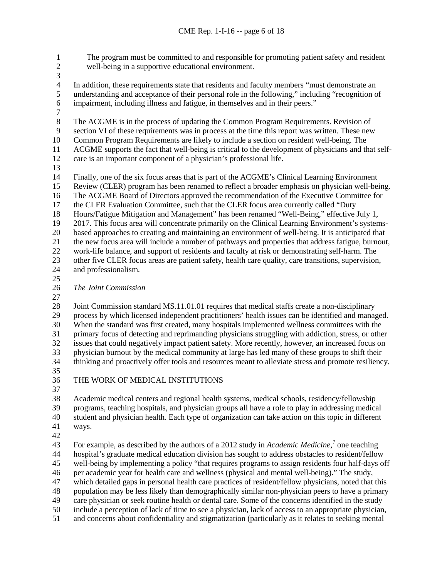1 The program must be committed to and responsible for promoting patient safety and resident well-being in a supportive educational environment. well-being in a supportive educational environment. 3<br>4 4 In addition, these requirements state that residents and faculty members "must demonstrate an understanding and acceptance of their personal role in the following," including "recognition of understanding and acceptance of their personal role in the following," including "recognition of impairment, including illness and fatigue, in themselves and in their peers."  $\frac{7}{8}$ The ACGME is in the process of updating the Common Program Requirements. Revision of section VI of these requirements was in process at the time this report was written. These new Common Program Requirements are likely to include a section on resident well-being. The ACGME supports the fact that well-being is critical to the development of physicians and that self- care is an important component of a physician's professional life. Finally, one of the six focus areas that is part of the ACGME's Clinical Learning Environment Review (CLER) program has been renamed to reflect a broader emphasis on physician well-being. The ACGME Board of Directors approved the recommendation of the Executive Committee for 17 the CLER Evaluation Committee, such that the CLER focus area currently called "Duty Hours/Fatigue Mitigation and Management" has been renamed "Well-Being," effective July 1, 2017. This focus area will concentrate primarily on the Clinical Learning Environment's systems-20 based approaches to creating and maintaining an environment of well-being. It is anticipated that<br>21 the new focus area will include a number of pathways and properties that address fatigue, burnout the new focus area will include a number of pathways and properties that address fatigue, burnout, work-life balance, and support of residents and faculty at risk or demonstrating self-harm. The other five CLER focus areas are patient safety, health care quality, care transitions, supervision, and professionalism. *The Joint Commission* Joint Commission standard MS.11.01.01 requires that medical staffs create a non-disciplinary process by which licensed independent practitioners' health issues can be identified and managed. When the standard was first created, many hospitals implemented wellness committees with the primary focus of detecting and reprimanding physicians struggling with addiction, stress, or other issues that could negatively impact patient safety. More recently, however, an increased focus on physician burnout by the medical community at large has led many of these groups to shift their thinking and proactively offer tools and resources meant to alleviate stress and promote resiliency. THE WORK OF MEDICAL INSTITUTIONS 

 Academic medical centers and regional health systems, medical schools, residency/fellowship programs, teaching hospitals, and physician groups all have a role to play in addressing medical student and physician health. Each type of organization can take action on this topic in different ways.

 43 For example, as described by the authors of a 2012 study in *Academic Medicine*,<sup>[7](#page-19-6)</sup> one teaching hospital's graduate medical education division has sought to address obstacles to resident/fellow well-being by implementing a policy "that requires programs to assign residents four half-days off per academic year for health care and wellness (physical and mental well-being)." The study, which detailed gaps in personal health care practices of resident/fellow physicians, noted that this population may be less likely than demographically similar non-physician peers to have a primary care physician or seek routine health or dental care. Some of the concerns identified in the study include a perception of lack of time to see a physician, lack of access to an appropriate physician, and concerns about confidentiality and stigmatization (particularly as it relates to seeking mental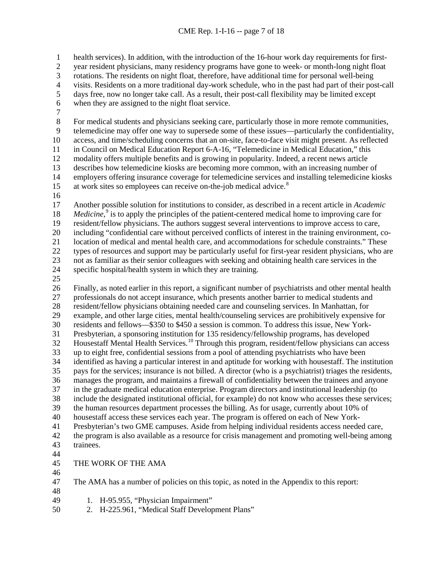health services). In addition, with the introduction of the 16-hour work day requirements for first-

year resident physicians, many residency programs have gone to week- or month-long night float

3 rotations. The residents on night float, therefore, have additional time for personal well-being<br>4 visits. Residents on a more traditional day-work schedule, who in the past had part of their pos

4 visits. Residents on a more traditional day-work schedule, who in the past had part of their post-call<br>5 days free, now no longer take call. As a result, their post-call flexibility may be limited except

days free, now no longer take call. As a result, their post-call flexibility may be limited except

when they are assigned to the night float service.

 $\begin{array}{c} 7 \\ 8 \end{array}$ 

 For medical students and physicians seeking care, particularly those in more remote communities, telemedicine may offer one way to supersede some of these issues—particularly the confidentiality, access, and time/scheduling concerns that an on-site, face-to-face visit might present. As reflected in Council on Medical Education Report 6-A-16, "Telemedicine in Medical Education," this modality offers multiple benefits and is growing in popularity. Indeed, a recent news article 13 describes how telemedicine kiosks are becoming more common, with an increasing number of employers offering insurance coverage for telemedicine services and installing telemedicine kio employers offering insurance coverage for telemedicine services and installing telemedicine kiosks 15 at work sites so employees can receive on-the-job medical advice.<sup>[8](#page-19-7)</sup>

 Another possible solution for institutions to consider, as described in a recent article in *Academic Medicine*,<sup>[9](#page-19-8)</sup> is to apply the principles of the patient-centered medical home to improving care for resident/fellow physicians. The authors suggest several interventions to improve access to care, including "confidential care without perceived conflicts of interest in the training environment, co- location of medical and mental health care, and accommodations for schedule constraints." These types of resources and support may be particularly useful for first-year resident physicians, who are not as familiar as their senior colleagues with seeking and obtaining health care services in the specific hospital/health system in which they are training.

 Finally, as noted earlier in this report, a significant number of psychiatrists and other mental health professionals do not accept insurance, which presents another barrier to medical students and 28 resident/fellow physicians obtaining needed care and counseling services. In Manhattan, for example, and other large cities, mental health/counseling services are prohibitively expensive example, and other large cities, mental health/counseling services are prohibitively expensive for residents and fellows—\$350 to \$450 a session is common. To address this issue, New York- Presbyterian, a sponsoring institution for 135 residency/fellowship programs, has developed Housestaff Mental Health Services.<sup>[10](#page-19-9)</sup> Through this program, resident/fellow physicians can access up to eight free, confidential sessions from a pool of attending psychiatrists who have been identified as having a particular interest in and aptitude for working with housestaff. The institution pays for the services; insurance is not billed. A director (who is a psychiatrist) triages the residents, manages the program, and maintains a firewall of confidentiality between the trainees and anyone in the graduate medical education enterprise. Program directors and institutional leadership (to include the designated institutional official, for example) do not know who accesses these services; the human resources department processes the billing. As for usage, currently about 10% of housestaff access these services each year. The program is offered on each of New York- Presbyterian's two GME campuses. Aside from helping individual residents access needed care, the program is also available as a resource for crisis management and promoting well-being among trainees. 

- THE WORK OF THE AMA
- 

 The AMA has a number of policies on this topic, as noted in the Appendix to this report: 

- 1. H-95.955, "Physician Impairment"
- 2. H-225.961, "Medical Staff Development Plans"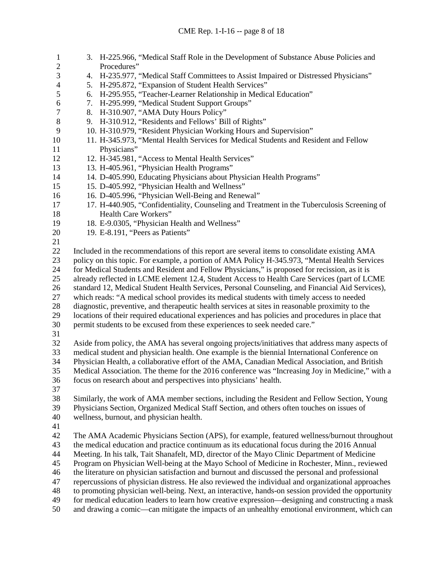| $\mathbf{1}$             | 3. H-225.966, "Medical Staff Role in the Development of Substance Abuse Policies and                |
|--------------------------|-----------------------------------------------------------------------------------------------------|
| $\mathbf{2}$<br>3        | Procedures"<br>4. H-235.977, "Medical Staff Committees to Assist Impaired or Distressed Physicians" |
| $\overline{\mathcal{A}}$ | 5. H-295.872, "Expansion of Student Health Services"                                                |
| 5                        | 6. H-295.955, "Teacher-Learner Relationship in Medical Education"                                   |
| 6                        | 7. H-295.999, "Medical Student Support Groups"                                                      |
| $\tau$                   | 8. H-310.907, "AMA Duty Hours Policy"                                                               |
| $\,8\,$                  | 9. H-310.912, "Residents and Fellows' Bill of Rights"                                               |
| 9                        | 10. H-310.979, "Resident Physician Working Hours and Supervision"                                   |
| 10                       | 11. H-345.973, "Mental Health Services for Medical Students and Resident and Fellow                 |
| 11                       | Physicians"                                                                                         |
| 12                       | 12. H-345.981, "Access to Mental Health Services"                                                   |
| 13                       | 13. H-405.961, "Physician Health Programs"                                                          |
| 14                       | 14. D-405.990, Educating Physicians about Physician Health Programs"                                |
| 15                       | 15. D-405.992, "Physician Health and Wellness"                                                      |
| 16                       | 16. D-405.996, "Physician Well-Being and Renewal"                                                   |
| 17                       | 17. H-440.905, "Confidentiality, Counseling and Treatment in the Tuberculosis Screening of          |
| 18                       | Health Care Workers"                                                                                |
| 19                       | 18. E-9.0305, "Physician Health and Wellness"                                                       |
| 20                       | 19. E-8.191, "Peers as Patients"                                                                    |
| 21                       |                                                                                                     |
| 22                       | Included in the recommendations of this report are several items to consolidate existing AMA        |
| 23                       | policy on this topic. For example, a portion of AMA Policy H-345.973, "Mental Health Services       |
| 24                       | for Medical Students and Resident and Fellow Physicians," is proposed for recission, as it is       |
| 25                       | already reflected in LCME element 12.4, Student Access to Health Care Services (part of LCME        |
| 26                       | standard 12, Medical Student Health Services, Personal Counseling, and Financial Aid Services),     |
| 27                       | which reads: "A medical school provides its medical students with timely access to needed           |
| 28                       | diagnostic, preventive, and therapeutic health services at sites in reasonable proximity to the     |
| 29                       | locations of their required educational experiences and has policies and procedures in place that   |
| 30                       | permit students to be excused from these experiences to seek needed care."                          |
| 31                       |                                                                                                     |
| 32                       | Aside from policy, the AMA has several ongoing projects/initiatives that address many aspects of    |
| 33                       | medical student and physician health. One example is the biennial International Conference on       |
| 34<br>35                 | Physician Health, a collaborative effort of the AMA, Canadian Medical Association, and British      |
| 36                       | Medical Association. The theme for the 2016 conference was "Increasing Joy in Medicine," with a     |
| 37                       | focus on research about and perspectives into physicians' health.                                   |
| 38                       | Similarly, the work of AMA member sections, including the Resident and Fellow Section, Young        |
| 39                       | Physicians Section, Organized Medical Staff Section, and others often touches on issues of          |
| 40                       | wellness, burnout, and physician health.                                                            |
| 41                       |                                                                                                     |
| 42                       | The AMA Academic Physicians Section (APS), for example, featured wellness/burnout throughout        |
| 43                       | the medical education and practice continuum as its educational focus during the 2016 Annual        |
| 44                       | Meeting. In his talk, Tait Shanafelt, MD, director of the Mayo Clinic Department of Medicine        |
| 45                       | Program on Physician Well-being at the Mayo School of Medicine in Rochester, Minn., reviewed        |
| 46                       | the literature on physician satisfaction and burnout and discussed the personal and professional    |
| 47                       | repercussions of physician distress. He also reviewed the individual and organizational approaches  |
| 48                       | to promoting physician well-being. Next, an interactive, hands-on session provided the opportunity  |
| 49                       | for medical education leaders to learn how creative expression—designing and constructing a mask    |
| 50                       | and drawing a comic—can mitigate the impacts of an unhealthy emotional environment, which can       |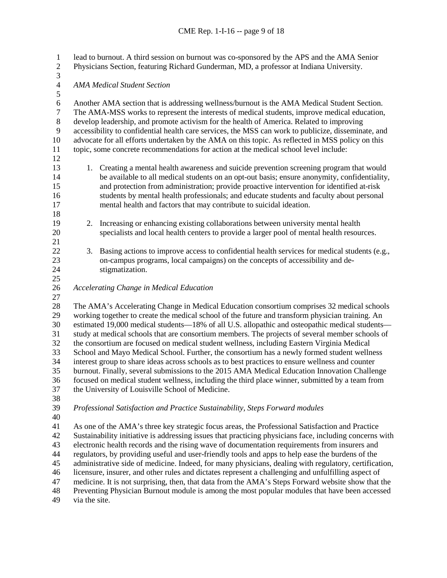lead to burnout. A third session on burnout was co-sponsored by the APS and the AMA Senior Physicians Section, featuring Richard Gunderman, MD, a professor at Indiana University. 3<br>4 *AMA Medical Student Section* 6 Another AMA section that is addressing wellness/burnout is the AMA Medical Student Section.<br>
The AMA-MSS works to represent the interests of medical students, improve medical education. The AMA-MSS works to represent the interests of medical students, improve medical education, develop leadership, and promote activism for the health of America. Related to improving accessibility to confidential health care services, the MSS can work to publicize, disseminate, and advocate for all efforts undertaken by the AMA on this topic. As reflected in MSS policy on this topic, some concrete recommendations for action at the medical school level include: 13 1. Creating a mental health awareness and suicide prevention screening program that would<br>14 14 15 easy is ensure an opt-out basis: ensure anonymity, confidentiality. be available to all medical students on an opt-out basis; ensure anonymity, confidentiality, and protection from administration; provide proactive intervention for identified at-risk students by mental health professionals; and educate students and faculty about personal mental health and factors that may contribute to suicidal ideation. 2. Increasing or enhancing existing collaborations between university mental health specialists and local health centers to provide a larger pool of mental health resources. 3. Basing actions to improve access to confidential health services for medical students (e.g., on-campus programs, local campaigns) on the concepts of accessibility and de- stigmatization. *Accelerating Change in Medical Education* The AMA's Accelerating Change in Medical Education consortium comprises 32 medical schools working together to create the medical school of the future and transform physician training. An estimated 19,000 medical students—18% of all U.S. allopathic and osteopathic medical students— study at medical schools that are consortium members. The projects of several member schools of the consortium are focused on medical student wellness, including Eastern Virginia Medical School and Mayo Medical School. Further, the consortium has a newly formed student wellness interest group to share ideas across schools as to best practices to ensure wellness and counter burnout. Finally, several submissions to the 2015 AMA Medical Education Innovation Challenge focused on medical student wellness, including the third place winner, submitted by a team from the University of Louisville School of Medicine. *Professional Satisfaction and Practice Sustainability, Steps Forward modules* As one of the AMA's three key strategic focus areas, the Professional Satisfaction and Practice Sustainability initiative is addressing issues that practicing physicians face, including concerns with electronic health records and the rising wave of documentation requirements from insurers and regulators, by providing useful and user-friendly tools and apps to help ease the burdens of the administrative side of medicine. Indeed, for many physicians, dealing with regulatory, certification, licensure, insurer, and other rules and dictates represent a challenging and unfulfilling aspect of

medicine. It is not surprising, then, that data from the AMA's Steps Forward website show that the

Preventing Physician Burnout module is among the most popular modules that have been accessed

via the site.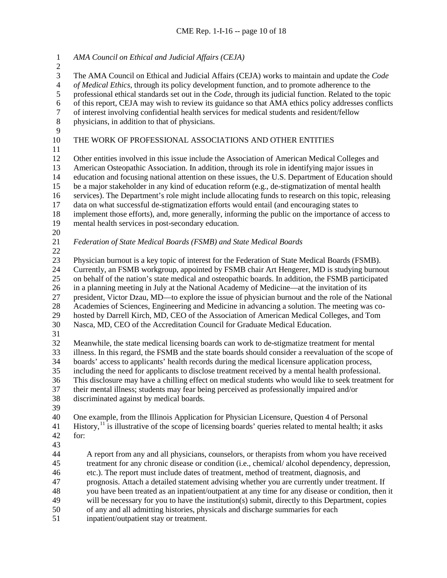*AMA Council on Ethical and Judicial Affairs (CEJA)* 3 The AMA Council on Ethical and Judicial Affairs (CEJA) works to maintain and update the *Code* of *Medical Ethics*, through its policy development function, and to promote adherence to the 4 *of Medical Ethics*, through its policy development function, and to promote adherence to the professional ethical standards set out in the *Code*, through its judicial function. Related to the professional ethical standards set out in the *Code*, through its judicial function. Related to the topic 6 of this report, CEJA may wish to review its guidance so that AMA ethics policy addresses conflicts<br>6 of interest involving confidential health services for medical students and resident/fellow 7 of interest involving confidential health services for medical students and resident/fellow<br>8 by physicians in addition to that of physicians. physicians, in addition to that of physicians. THE WORK OF PROFESSIONAL ASSOCIATIONS AND OTHER ENTITIES Other entities involved in this issue include the Association of American Medical Colleges and 13 American Osteopathic Association. In addition, through its role in identifying major issues in<br>14 education and focusing national attention on these issues, the U.S. Department of Education sl education and focusing national attention on these issues, the U.S. Department of Education should be a major stakeholder in any kind of education reform (e.g., de-stigmatization of mental health services). The Department's role might include allocating funds to research on this topic, releasing data on what successful de-stigmatization efforts would entail (and encouraging states to implement those efforts), and, more generally, informing the public on the importance of access to mental health services in post-secondary education.  $\frac{20}{21}$  *Federation of State Medical Boards (FSMB) and State Medical Boards* Physician burnout is a key topic of interest for the Federation of State Medical Boards (FSMB). Currently, an FSMB workgroup, appointed by FSMB chair Art Hengerer, MD is studying burnout

 on behalf of the nation's state medical and osteopathic boards. In addition, the FSMB participated in a planning meeting in July at the National Academy of Medicine—at the invitation of its president, Victor Dzau, MD—to explore the issue of physician burnout and the role of the National Academies of Sciences, Engineering and Medicine in advancing a solution. The meeting was co- hosted by Darrell Kirch, MD, CEO of the Association of American Medical Colleges, and Tom Nasca, MD, CEO of the Accreditation Council for Graduate Medical Education. Meanwhile, the state medical licensing boards can work to de-stigmatize treatment for mental illness. In this regard, the FSMB and the state boards should consider a reevaluation of the scope of

- boards' access to applicants' health records during the medical licensure application process,
- including the need for applicants to disclose treatment received by a mental health professional.
- This disclosure may have a chilling effect on medical students who would like to seek treatment for
- their mental illness; students may fear being perceived as professionally impaired and/or discriminated against by medical boards.
- 

 One example, from the Illinois Application for Physician Licensure, Question 4 of Personal History,<sup>[11](#page-19-10)</sup> is illustrative of the scope of licensing boards' queries related to mental health; it asks for:

 A report from any and all physicians, counselors, or therapists from whom you have received treatment for any chronic disease or condition (i.e., chemical/ alcohol dependency, depression, etc.). The report must include dates of treatment, method of treatment, diagnosis, and prognosis. Attach a detailed statement advising whether you are currently under treatment. If you have been treated as an inpatient/outpatient at any time for any disease or condition, then it will be necessary for you to have the institution(s) submit, directly to this Department, copies of any and all admitting histories, physicals and discharge summaries for each

inpatient/outpatient stay or treatment.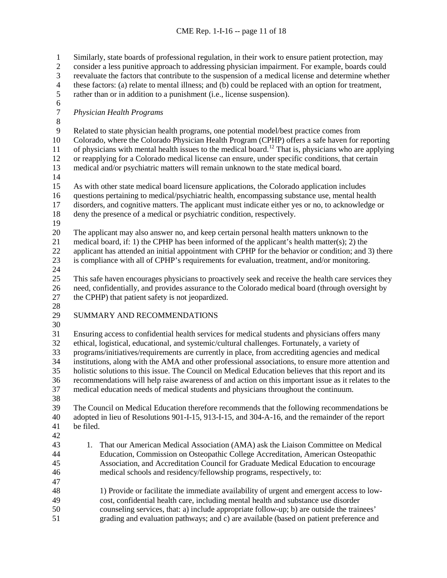Similarly, state boards of professional regulation, in their work to ensure patient protection, may consider a less punitive approach to addressing physician impairment. For example, boards could 3 reevaluate the factors that contribute to the suspension of a medical license and determine whether<br>4 these factors: (a) relate to mental illness; and (b) could be replaced with an option for treatment, 4 these factors: (a) relate to mental illness; and (b) could be replaced with an option for treatment,<br>5 rather than or in addition to a punishment (i.e., license suspension). rather than or in addition to a punishment (i.e., license suspension). 6<br>7 *Physician Health Programs*  $\begin{array}{c} 8 \\ 9 \end{array}$  Related to state physician health programs, one potential model/best practice comes from Colorado, where the Colorado Physician Health Program (CPHP) offers a safe haven for reporting 11 of physicians with mental health issues to the medical board.<sup>[12](#page-19-11)</sup> That is, physicians who are applying or reapplying for a Colorado medical license can ensure, under specific conditions, that certain medical and/or psychiatric matters will remain unknown to the state medical board. As with other state medical board licensure applications, the Colorado application includes questions pertaining to medical/psychiatric health, encompassing substance use, mental health disorders, and cognitive matters. The applicant must indicate either yes or no, to acknowledge or deny the presence of a medical or psychiatric condition, respectively. The applicant may also answer no, and keep certain personal health matters unknown to the medical board, if: 1) the CPHP has been informed of the applicant's health matter(s); 2) the applicant has attended an initial appointment with CPHP for the behavior or condition; and 3) there is compliance with all of CPHP's requirements for evaluation, treatment, and/or monitoring. This safe haven encourages physicians to proactively seek and receive the health care services they need, confidentially, and provides assurance to the Colorado medical board (through oversight by the CPHP) that patient safety is not jeopardized.  $\frac{28}{29}$ SUMMARY AND RECOMMENDATIONS Ensuring access to confidential health services for medical students and physicians offers many ethical, logistical, educational, and systemic/cultural challenges. Fortunately, a variety of programs/initiatives/requirements are currently in place, from accrediting agencies and medical institutions, along with the AMA and other professional associations, to ensure more attention and holistic solutions to this issue. The Council on Medical Education believes that this report and its recommendations will help raise awareness of and action on this important issue as it relates to the medical education needs of medical students and physicians throughout the continuum. The Council on Medical Education therefore recommends that the following recommendations be adopted in lieu of Resolutions 901-I-15, 913-I-15, and 304-A-16, and the remainder of the report be filed. 1. That our American Medical Association (AMA) ask the Liaison Committee on Medical Education, Commission on Osteopathic College Accreditation, American Osteopathic Association, and Accreditation Council for Graduate Medical Education to encourage medical schools and residency/fellowship programs, respectively, to: 1) Provide or facilitate the immediate availability of urgent and emergent access to low- cost, confidential health care, including mental health and substance use disorder counseling services, that: a) include appropriate follow-up; b) are outside the trainees' grading and evaluation pathways; and c) are available (based on patient preference and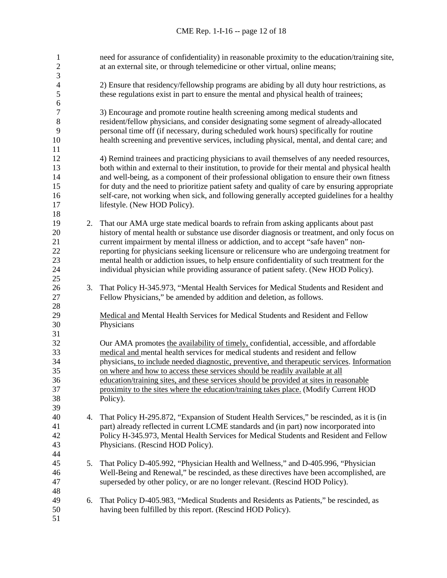| 1<br>$\overline{c}$ |    | need for assurance of confidentiality) in reasonable proximity to the education/training site,<br>at an external site, or through telemedicine or other virtual, online means;      |
|---------------------|----|-------------------------------------------------------------------------------------------------------------------------------------------------------------------------------------|
| 3                   |    |                                                                                                                                                                                     |
| 4<br>5              |    | 2) Ensure that residency/fellowship programs are abiding by all duty hour restrictions, as<br>these regulations exist in part to ensure the mental and physical health of trainees; |
| $\sqrt{6}$          |    |                                                                                                                                                                                     |
| $\boldsymbol{7}$    |    | 3) Encourage and promote routine health screening among medical students and                                                                                                        |
| $8\,$               |    | resident/fellow physicians, and consider designating some segment of already-allocated                                                                                              |
| 9                   |    | personal time off (if necessary, during scheduled work hours) specifically for routine                                                                                              |
| 10                  |    | health screening and preventive services, including physical, mental, and dental care; and                                                                                          |
| 11                  |    |                                                                                                                                                                                     |
| 12                  |    | 4) Remind trainees and practicing physicians to avail themselves of any needed resources,                                                                                           |
| 13                  |    | both within and external to their institution, to provide for their mental and physical health                                                                                      |
| 14                  |    | and well-being, as a component of their professional obligation to ensure their own fitness                                                                                         |
| 15                  |    | for duty and the need to prioritize patient safety and quality of care by ensuring appropriate                                                                                      |
| 16                  |    | self-care, not working when sick, and following generally accepted guidelines for a healthy                                                                                         |
| 17                  |    | lifestyle. (New HOD Policy).                                                                                                                                                        |
| 18                  |    |                                                                                                                                                                                     |
| 19                  | 2. | That our AMA urge state medical boards to refrain from asking applicants about past                                                                                                 |
| 20                  |    | history of mental health or substance use disorder diagnosis or treatment, and only focus on                                                                                        |
| 21                  |    | current impairment by mental illness or addiction, and to accept "safe haven" non-                                                                                                  |
| 22                  |    | reporting for physicians seeking licensure or relicensure who are undergoing treatment for                                                                                          |
| 23                  |    | mental health or addiction issues, to help ensure confidentiality of such treatment for the                                                                                         |
| 24                  |    | individual physician while providing assurance of patient safety. (New HOD Policy).                                                                                                 |
| 25                  |    |                                                                                                                                                                                     |
| 26                  |    |                                                                                                                                                                                     |
| 27                  | 3. | That Policy H-345.973, "Mental Health Services for Medical Students and Resident and                                                                                                |
|                     |    | Fellow Physicians," be amended by addition and deletion, as follows.                                                                                                                |
| 28                  |    |                                                                                                                                                                                     |
| 29                  |    | Medical and Mental Health Services for Medical Students and Resident and Fellow                                                                                                     |
| 30                  |    | Physicians                                                                                                                                                                          |
| 31                  |    |                                                                                                                                                                                     |
| 32                  |    | Our AMA promotes the availability of timely, confidential, accessible, and affordable                                                                                               |
| 33                  |    | medical and mental health services for medical students and resident and fellow                                                                                                     |
| 34                  |    | physicians, to include needed diagnostic, preventive, and therapeutic services. Information                                                                                         |
| 35                  |    | on where and how to access these services should be readily available at all                                                                                                        |
| 36                  |    | education/training sites, and these services should be provided at sites in reasonable                                                                                              |
| 37                  |    | proximity to the sites where the education/training takes place. (Modify Current HOD                                                                                                |
| 38                  |    | Policy).                                                                                                                                                                            |
| 39                  |    |                                                                                                                                                                                     |
| 40                  | 4. | That Policy H-295.872, "Expansion of Student Health Services," be rescinded, as it is (in                                                                                           |
| 41                  |    | part) already reflected in current LCME standards and (in part) now incorporated into                                                                                               |
| 42                  |    | Policy H-345.973, Mental Health Services for Medical Students and Resident and Fellow                                                                                               |
| 43                  |    | Physicians. (Rescind HOD Policy).                                                                                                                                                   |
| 44                  |    |                                                                                                                                                                                     |
| 45                  | 5. | That Policy D-405.992, "Physician Health and Wellness," and D-405.996, "Physician                                                                                                   |
| 46                  |    | Well-Being and Renewal," be rescinded, as these directives have been accomplished, are                                                                                              |
| 47                  |    | superseded by other policy, or are no longer relevant. (Rescind HOD Policy).                                                                                                        |
| 48                  |    |                                                                                                                                                                                     |
| 49                  | 6. | That Policy D-405.983, "Medical Students and Residents as Patients," be rescinded, as                                                                                               |
| 50                  |    | having been fulfilled by this report. (Rescind HOD Policy).                                                                                                                         |
| 51                  |    |                                                                                                                                                                                     |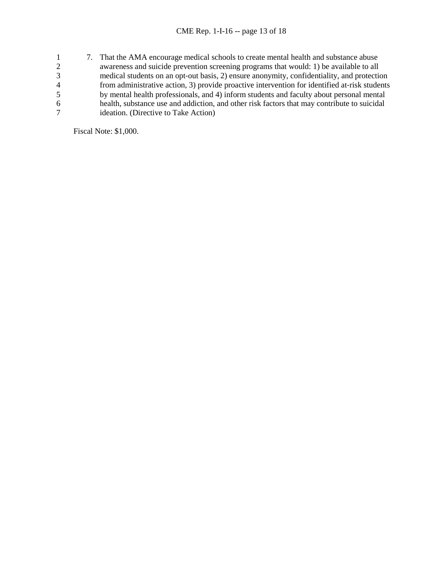1 7. That the AMA encourage medical schools to create mental health and substance abuse<br>awareness and suicide prevention screening programs that would: 1) be available to all awareness and suicide prevention screening programs that would: 1) be available to all 3<br>
medical students on an opt-out basis, 2) ensure anonymity, confidentiality, and protection<br>
from administrative action, 3) provide proactive intervention for identified at-risk students 4 from administrative action, 3) provide proactive intervention for identified at-risk students<br>5 by mental health professionals, and 4) inform students and faculty about personal mental 5 by mental health professionals, and 4) inform students and faculty about personal mental<br>6 health, substance use and addiction, and other risk factors that may contribute to suicidal 6 health, substance use and addiction, and other risk factors that may contribute to suicidal ideation. (Directive to Take Action)

Fiscal Note: \$1,000.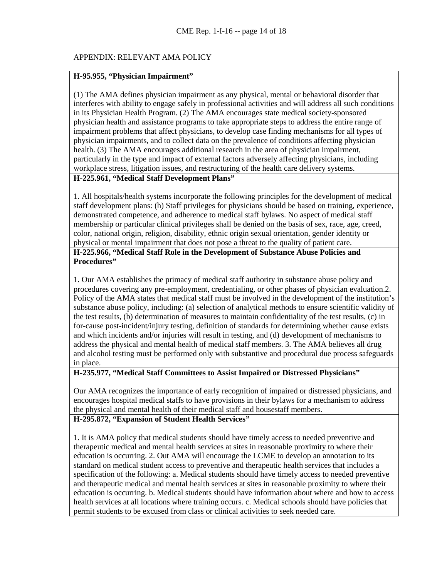### APPENDIX: RELEVANT AMA POLICY

#### **H-95.955, "Physician Impairment"**

(1) The AMA defines physician impairment as any physical, mental or behavioral disorder that interferes with ability to engage safely in professional activities and will address all such conditions in its Physician Health Program. (2) The AMA encourages state medical society-sponsored physician health and assistance programs to take appropriate steps to address the entire range of impairment problems that affect physicians, to develop case finding mechanisms for all types of physician impairments, and to collect data on the prevalence of conditions affecting physician health. (3) The AMA encourages additional research in the area of physician impairment, particularly in the type and impact of external factors adversely affecting physicians, including workplace stress, litigation issues, and restructuring of the health care delivery systems.

# **H-225.961, "Medical Staff Development Plans"**

1. All hospitals/health systems incorporate the following principles for the development of medical staff development plans: (h) Staff privileges for physicians should be based on training, experience, demonstrated competence, and adherence to medical staff bylaws. No aspect of medical staff membership or particular clinical privileges shall be denied on the basis of sex, race, age, creed, color, national origin, religion, disability, ethnic origin sexual orientation, gender identity or physical or mental impairment that does not pose a threat to the quality of patient care.

### **H-225.966, "Medical Staff Role in the Development of Substance Abuse Policies and Procedures"**

1. Our AMA establishes the primacy of medical staff authority in substance abuse policy and procedures covering any pre-employment, credentialing, or other phases of physician evaluation.2. Policy of the AMA states that medical staff must be involved in the development of the institution's substance abuse policy, including: (a) selection of analytical methods to ensure scientific validity of the test results, (b) determination of measures to maintain confidentiality of the test results, (c) in for-cause post-incident/injury testing, definition of standards for determining whether cause exists and which incidents and/or injuries will result in testing, and (d) development of mechanisms to address the physical and mental health of medical staff members. 3. The AMA believes all drug and alcohol testing must be performed only with substantive and procedural due process safeguards in place.

### **H-235.977, "Medical Staff Committees to Assist Impaired or Distressed Physicians"**

Our AMA recognizes the importance of early recognition of impaired or distressed physicians, and encourages hospital medical staffs to have provisions in their bylaws for a mechanism to address the physical and mental health of their medical staff and housestaff members.

### **H-295.872, "Expansion of Student Health Services"**

1. It is AMA policy that medical students should have timely access to needed preventive and therapeutic medical and mental health services at sites in reasonable proximity to where their education is occurring. 2. Out AMA will encourage the LCME to develop an annotation to its standard on medical student access to preventive and therapeutic health services that includes a specification of the following: a. Medical students should have timely access to needed preventive and therapeutic medical and mental health services at sites in reasonable proximity to where their education is occurring. b. Medical students should have information about where and how to access health services at all locations where training occurs. c. Medical schools should have policies that permit students to be excused from class or clinical activities to seek needed care.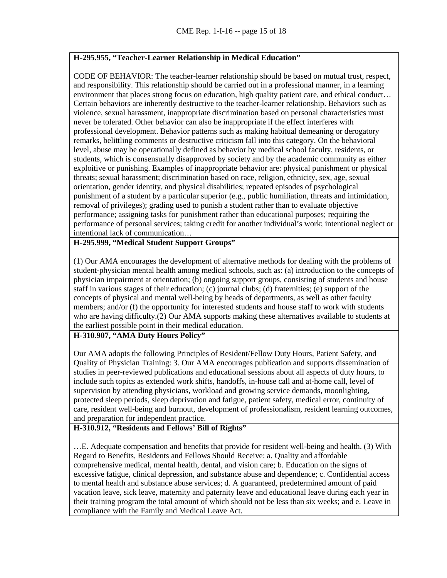### **H-295.955, "Teacher-Learner Relationship in Medical Education"**

CODE OF BEHAVIOR: The teacher-learner relationship should be based on mutual trust, respect, and responsibility. This relationship should be carried out in a professional manner, in a learning environment that places strong focus on education, high quality patient care, and ethical conduct… Certain behaviors are inherently destructive to the teacher-learner relationship. Behaviors such as violence, sexual harassment, inappropriate discrimination based on personal characteristics must never be tolerated. Other behavior can also be inappropriate if the effect interferes with professional development. Behavior patterns such as making habitual demeaning or derogatory remarks, belittling comments or destructive criticism fall into this category. On the behavioral level, abuse may be operationally defined as behavior by medical school faculty, residents, or students, which is consensually disapproved by society and by the academic community as either exploitive or punishing. Examples of inappropriate behavior are: physical punishment or physical threats; sexual harassment; discrimination based on race, religion, ethnicity, sex, age, sexual orientation, gender identity, and physical disabilities; repeated episodes of psychological punishment of a student by a particular superior (e.g., public humiliation, threats and intimidation, removal of privileges); grading used to punish a student rather than to evaluate objective performance; assigning tasks for punishment rather than educational purposes; requiring the performance of personal services; taking credit for another individual's work; intentional neglect or intentional lack of communication…

# **H-295.999, "Medical Student Support Groups"**

(1) Our AMA encourages the development of alternative methods for dealing with the problems of student-physician mental health among medical schools, such as: (a) introduction to the concepts of physician impairment at orientation; (b) ongoing support groups, consisting of students and house staff in various stages of their education; (c) journal clubs; (d) fraternities; (e) support of the concepts of physical and mental well-being by heads of departments, as well as other faculty members; and/or (f) the opportunity for interested students and house staff to work with students who are having difficulty.(2) Our AMA supports making these alternatives available to students at the earliest possible point in their medical education.

## **H-310.907, "AMA Duty Hours Policy"**

Our AMA adopts the following Principles of Resident/Fellow Duty Hours, Patient Safety, and Quality of Physician Training: 3. Our AMA encourages publication and supports dissemination of studies in peer-reviewed publications and educational sessions about all aspects of duty hours, to include such topics as extended work shifts, handoffs, in-house call and at-home call, level of supervision by attending physicians, workload and growing service demands, moonlighting, protected sleep periods, sleep deprivation and fatigue, patient safety, medical error, continuity of care, resident well-being and burnout, development of professionalism, resident learning outcomes, and preparation for independent practice.

# **H-310.912, "Residents and Fellows' Bill of Rights"**

…E. Adequate compensation and benefits that provide for resident well-being and health. (3) With Regard to Benefits, Residents and Fellows Should Receive: a. Quality and affordable comprehensive medical, mental health, dental, and vision care; b. Education on the signs of excessive fatigue, clinical depression, and substance abuse and dependence; c. Confidential access to mental health and substance abuse services; d. A guaranteed, predetermined amount of paid vacation leave, sick leave, maternity and paternity leave and educational leave during each year in their training program the total amount of which should not be less than six weeks; and e. Leave in compliance with the Family and Medical Leave Act.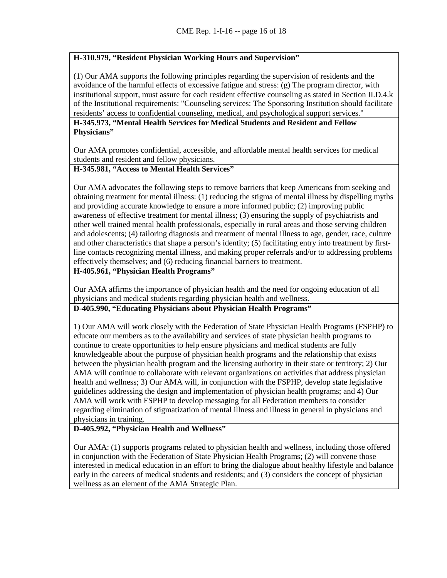# **H-310.979, "Resident Physician Working Hours and Supervision"**

(1) Our AMA supports the following principles regarding the supervision of residents and the avoidance of the harmful effects of excessive fatigue and stress: (g) The program director, with institutional support, must assure for each resident effective counseling as stated in Section II.D.4.k of the Institutional requirements: "Counseling services: The Sponsoring Institution should facilitate residents' access to confidential counseling, medical, and psychological support services."

### **H-345.973, "Mental Health Services for Medical Students and Resident and Fellow Physicians"**

Our AMA promotes confidential, accessible, and affordable mental health services for medical students and resident and fellow physicians.

#### **H-345.981, "Access to Mental Health Services"**

Our AMA advocates the following steps to remove barriers that keep Americans from seeking and obtaining treatment for mental illness: (1) reducing the stigma of mental illness by dispelling myths and providing accurate knowledge to ensure a more informed public; (2) improving public awareness of effective treatment for mental illness; (3) ensuring the supply of psychiatrists and other well trained mental health professionals, especially in rural areas and those serving children and adolescents; (4) tailoring diagnosis and treatment of mental illness to age, gender, race, culture and other characteristics that shape a person's identity; (5) facilitating entry into treatment by firstline contacts recognizing mental illness, and making proper referrals and/or to addressing problems effectively themselves; and (6) reducing financial barriers to treatment.

# **H-405.961, "Physician Health Programs"**

Our AMA affirms the importance of physician health and the need for ongoing education of all physicians and medical students regarding physician health and wellness.

## **D-405.990, "Educating Physicians about Physician Health Programs"**

1) Our AMA will work closely with the Federation of State Physician Health Programs (FSPHP) to educate our members as to the availability and services of state physician health programs to continue to create opportunities to help ensure physicians and medical students are fully knowledgeable about the purpose of physician health programs and the relationship that exists between the physician health program and the licensing authority in their state or territory; 2) Our AMA will continue to collaborate with relevant organizations on activities that address physician health and wellness; 3) Our AMA will, in conjunction with the FSPHP, develop state legislative guidelines addressing the design and implementation of physician health programs; and 4) Our AMA will work with FSPHP to develop messaging for all Federation members to consider regarding elimination of stigmatization of mental illness and illness in general in physicians and physicians in training.

### **D-405.992, "Physician Health and Wellness"**

Our AMA: (1) supports programs related to physician health and wellness, including those offered in conjunction with the Federation of State Physician Health Programs; (2) will convene those interested in medical education in an effort to bring the dialogue about healthy lifestyle and balance early in the careers of medical students and residents; and (3) considers the concept of physician wellness as an element of the AMA Strategic Plan.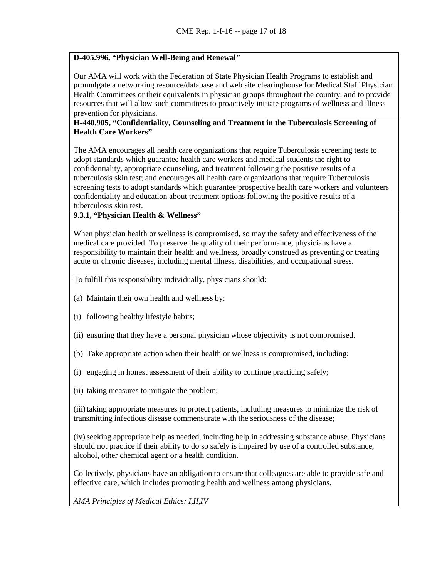### **D-405.996, "Physician Well-Being and Renewal"**

Our AMA will work with the Federation of State Physician Health Programs to establish and promulgate a networking resource/database and web site clearinghouse for Medical Staff Physician Health Committees or their equivalents in physician groups throughout the country, and to provide resources that will allow such committees to proactively initiate programs of wellness and illness prevention for physicians.

#### **H-440.905, "Confidentiality, Counseling and Treatment in the Tuberculosis Screening of Health Care Workers"**

The AMA encourages all health care organizations that require Tuberculosis screening tests to adopt standards which guarantee health care workers and medical students the right to confidentiality, appropriate counseling, and treatment following the positive results of a tuberculosis skin test; and encourages all health care organizations that require Tuberculosis screening tests to adopt standards which guarantee prospective health care workers and volunteers confidentiality and education about treatment options following the positive results of a tuberculosis skin test.

### **9.3.1, "Physician Health & Wellness"**

When physician health or wellness is compromised, so may the safety and effectiveness of the medical care provided. To preserve the quality of their performance, physicians have a responsibility to maintain their health and wellness, broadly construed as preventing or treating acute or chronic diseases, including mental illness, disabilities, and occupational stress.

To fulfill this responsibility individually, physicians should:

- (a) Maintain their own health and wellness by:
- (i) following healthy lifestyle habits;
- (ii) ensuring that they have a personal physician whose objectivity is not compromised.
- (b) Take appropriate action when their health or wellness is compromised, including:
- (i) engaging in honest assessment of their ability to continue practicing safely;
- (ii) taking measures to mitigate the problem;

(iii) taking appropriate measures to protect patients, including measures to minimize the risk of transmitting infectious disease commensurate with the seriousness of the disease;

(iv)seeking appropriate help as needed, including help in addressing substance abuse. Physicians should not practice if their ability to do so safely is impaired by use of a controlled substance, alcohol, other chemical agent or a health condition.

Collectively, physicians have an obligation to ensure that colleagues are able to provide safe and effective care, which includes promoting health and wellness among physicians.

*AMA Principles of Medical Ethics: I,II,IV*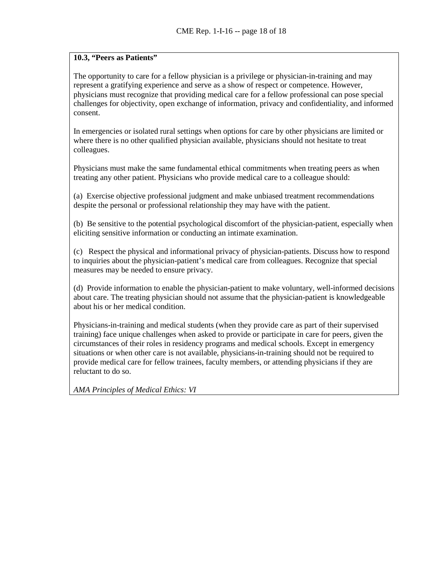# **10.3, "Peers as Patients"**

The opportunity to care for a fellow physician is a privilege or physician-in-training and may represent a gratifying experience and serve as a show of respect or competence. However, physicians must recognize that providing medical care for a fellow professional can pose special challenges for objectivity, open exchange of information, privacy and confidentiality, and informed consent.

In emergencies or isolated rural settings when options for care by other physicians are limited or where there is no other qualified physician available, physicians should not hesitate to treat colleagues.

Physicians must make the same fundamental ethical commitments when treating peers as when treating any other patient. Physicians who provide medical care to a colleague should:

(a) Exercise objective professional judgment and make unbiased treatment recommendations despite the personal or professional relationship they may have with the patient.

(b) Be sensitive to the potential psychological discomfort of the physician-patient, especially when eliciting sensitive information or conducting an intimate examination.

(c) Respect the physical and informational privacy of physician-patients. Discuss how to respond to inquiries about the physician-patient's medical care from colleagues. Recognize that special measures may be needed to ensure privacy.

(d) Provide information to enable the physician-patient to make voluntary, well-informed decisions about care. The treating physician should not assume that the physician-patient is knowledgeable about his or her medical condition.

Physicians-in-training and medical students (when they provide care as part of their supervised training) face unique challenges when asked to provide or participate in care for peers, given the circumstances of their roles in residency programs and medical schools. Except in emergency situations or when other care is not available, physicians-in-training should not be required to provide medical care for fellow trainees, faculty members, or attending physicians if they are reluctant to do so.

*AMA Principles of Medical Ethics: VI*